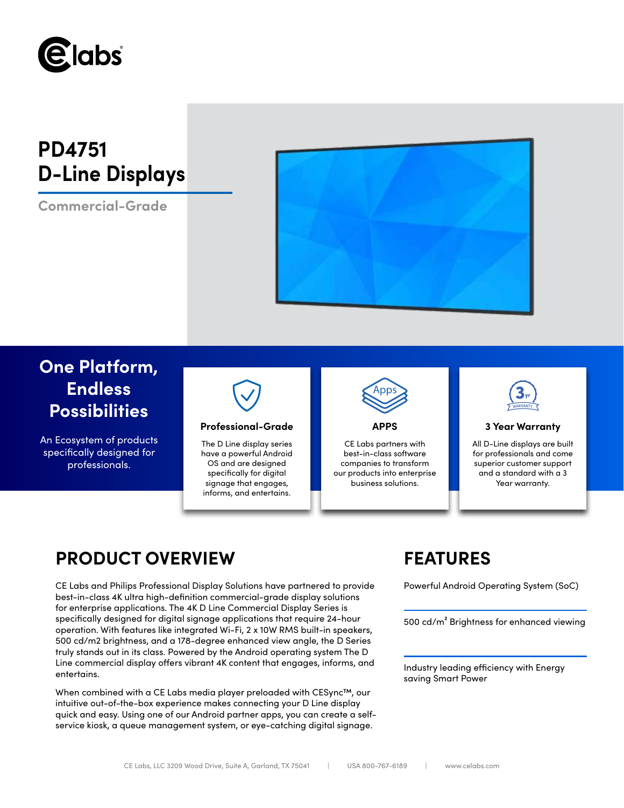

# **PD4751 D-Line Displays**

**Commercial-Grade**



## **One Platform, Endless Possibilities**

An Ecosystem of products specifically designed for professionals.



### **Professional-Grade APPS 3 Year Warranty**

The D Line display series have a powerful Android OS and are designed specifically for digital signage that engages, informs, and entertains.



CE Labs partners with best-in-class software companies to transform our products into enterprise business solutions.



All D-Line displays are built for professionals and come superior customer support and a standard with a 3 Year warranty.

## **PRODUCT OVERVIEW FEATURES**

CE Labs and Philips Professional Display Solutions have partnered to provide Powerful Android Operating System (SoC) best-in-class 4K ultra high-definition commercial-grade display solutions for enterprise applications. The 4K D Line Commercial Display Series is specifically designed for digital signage applications that require 24-hour operation. With features like integrated Wi-Fi, 2 x 10W RMS built-in speakers, 500 cd/m2 brightness, and a 178-degree enhanced view angle, the D Series truly stands out in its class. Powered by the Android operating system The D Line commercial display offers vibrant 4K content that engages, informs, and entertains.

When combined with a CE Labs media player preloaded with CESync™, our intuitive out-of-the-box experience makes connecting your D Line display quick and easy. Using one of our Android partner apps, you can create a selfservice kiosk, a queue management system, or eye-catching digital signage.

500 cd/m² Brightness for enhanced viewing

Industry leading efficiency with Energy saving Smart Power